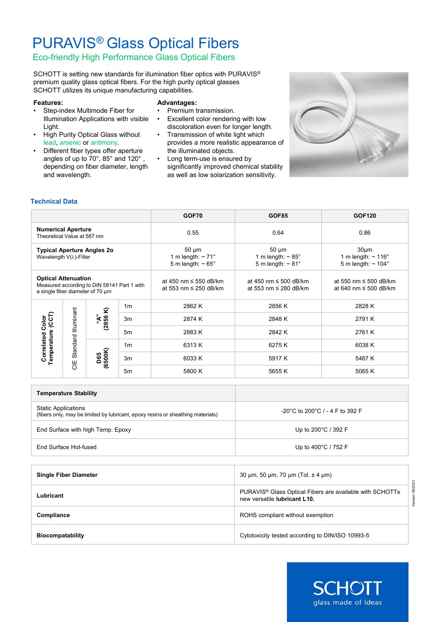# PURAVIS® Glass Optical Fibers

## Eco-friendly High Performance Glass Optical Fibers

SCHOTT is setting new standards for illumination fiber optics with PURAVIS® premium quality glass optical fibers. For the high purity optical glasses SCHOTT utilizes its unique manufacturing capabilities.

#### **Features:**

- Step-index Multimode Fiber for Illumination Applications with visible Light.
- High Purity Optical Glass without lead, arsenic or antimony.
- Different fiber types offer aperture angles of up to 70°, 85° and 120° , depending on fiber diameter, length and wavelength.

### **Advantages:**

- Premium transmission.
- Excellent color rendering with low discoloration even for longer length.
- Transmission of white light which provides a more realistic appearance of the illuminated objects.
- Long term-use is ensured by significantly improved chemical stability as well as low solarization sensitivity.



### **Technical Data**

|                                                                                                               |                                          |                 |                | GOF70                                                                         | <b>GOF85</b>                                                             | <b>GOF120</b>                                                                               |  |
|---------------------------------------------------------------------------------------------------------------|------------------------------------------|-----------------|----------------|-------------------------------------------------------------------------------|--------------------------------------------------------------------------|---------------------------------------------------------------------------------------------|--|
| <b>Numerical Aperture</b><br>Theoretical Value at 587 nm                                                      |                                          |                 |                | 0.55                                                                          | 0.64                                                                     | 0.86                                                                                        |  |
| Typical Aperture Angles 2α<br>Wavelength $V(\lambda)$ -Filter                                                 |                                          |                 |                | $50 \mu m$<br>1 m length: $\sim$ 71 $^{\circ}$<br>5 m length: $\sim 65^\circ$ | $50 \mu m$<br>1 m length: $\sim 85^\circ$<br>5 m length: $\sim 81^\circ$ | 30 <sub>µ</sub> m<br>1 m length: $\sim$ 116 $^{\circ}$<br>5 m length: $\sim$ 104 $^{\circ}$ |  |
| <b>Optical Attenuation</b><br>Measured according to DIN 58141 Part 1 with<br>a single fiber diameter of 70 um |                                          |                 |                | at 450 nm $\leq$ 550 dB/km<br>at 553 nm ≤ 250 dB/km                           | at 450 nm $\leq$ 500 dB/km<br>at 553 nm ≤ 280 dB/km                      | at 550 nm $\leq$ 500 dB/km<br>at 640 nm ≤ 500 dB/km                                         |  |
| (CCT)<br><b>Correlated Color</b><br>Temperature                                                               | <b>Illuminant</b><br>Standard<br>UE<br>O | "A"<br>(2856 K) | 1 <sub>m</sub> | 2862 K                                                                        | 2856 K                                                                   | 2828 K                                                                                      |  |
|                                                                                                               |                                          |                 | 3m             | 2874 K                                                                        | 2848 K                                                                   | 2791 K                                                                                      |  |
|                                                                                                               |                                          |                 | 5 <sub>m</sub> | 2883K                                                                         | 2842 K                                                                   | 2761 K                                                                                      |  |
|                                                                                                               |                                          |                 | 1 <sub>m</sub> | 6313 K                                                                        | 6275K                                                                    | 6038 K                                                                                      |  |
|                                                                                                               |                                          | (6500K)<br>D65  | 3m             | 6033K                                                                         | 5917 K                                                                   | 5487 K                                                                                      |  |
|                                                                                                               |                                          |                 | 5m             | 5800 K                                                                        | 5655 K                                                                   | 5065 K                                                                                      |  |

| <b>Temperature Stability</b>                                                                                  |                                                      |
|---------------------------------------------------------------------------------------------------------------|------------------------------------------------------|
| <b>Static Applications</b><br>(fibers only, may be limited by lubricant, epoxy resins or sheathing materials) | $-20^{\circ}$ C to 200 $^{\circ}$ C / - 4 F to 392 F |
| End Surface with high Temp. Epoxy                                                                             | Up to $200^{\circ}$ C / 392 F                        |
| End Surface Hot-fused                                                                                         | Up to $400^{\circ}$ C / 752 F                        |

| <b>Single Fiber Diameter</b> | 30 $\mu$ m, 50 $\mu$ m, 70 $\mu$ m (Tol. $\pm$ 4 $\mu$ m)                                                                |
|------------------------------|--------------------------------------------------------------------------------------------------------------------------|
| Lubricant                    | PURAVIS <sup>®</sup> Glass Optical Fibers are available with SCHOTTs<br>new versatile <b>lubricant</b> L <sub>10</sub> . |
| Compliance                   | ROHS compliant without exemption                                                                                         |
| <b>Biocompatability</b>      | Cytotoxicity tested according to DIN/ISO 10993-5                                                                         |



Version 06/2021

Version 06/2021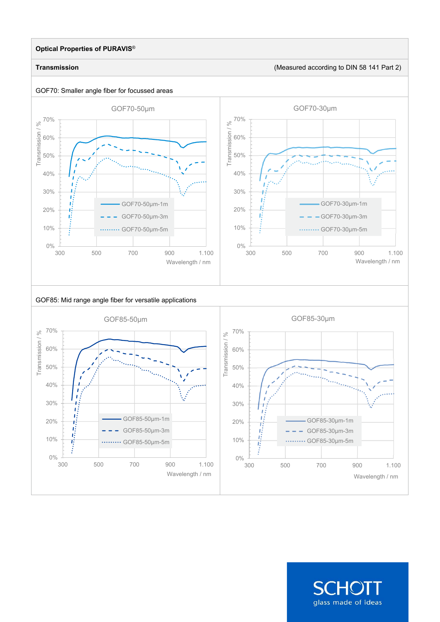### **Optical Properties of PURAVIS**®

GOF70: Smaller angle fiber for focussed areas

 $rac{1}{300}$ 

B

10%

**Transmission** (Measured according to DIN 58 141 Part 2)



GOF70-50µm-3m .... GOF70-50µm-5m



#### GOF85: Mid range angle fiber for versatile applications

 $\ddotsc$ 

300 500 700 900 1.100

Wavelength / nm



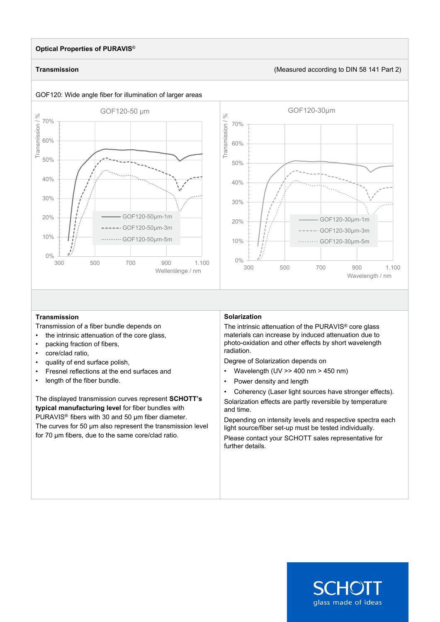#### **Optical Properties of PURAVIS**®

#### **Transmission** (Measured according to DIN 58 141 Part 2)



#### **Transmission**

Transmission of a fiber bundle depends on

- the intrinsic attenuation of the core glass,
- packing fraction of fibers,
- core/clad ratio,
- quality of end surface polish,
- Fresnel reflections at the end surfaces and
- length of the fiber bundle.

The displayed transmission curves represent **SCHOTT's typical manufacturing level** for fiber bundles with PURAVIS<sup>®</sup> fibers with 30 and 50 um fiber diameter. The curves for 50 µm also represent the transmission level for 70 µm fibers, due to the same core/clad ratio.

#### **Solarization**

The intrinsic attenuation of the PURAVIS® core glass materials can increase by induced attenuation due to photo-oxidation and other effects by short wavelength radiation.

Degree of Solarization depends on

- Wavelength  $(UV \gg 400 \text{ nm} > 450 \text{ nm})$
- Power density and length
- Coherency (Laser light sources have stronger effects).

Solarization effects are partly reversible by temperature and time.

Depending on intensity levels and respective spectra each light source/fiber set-up must be tested individually. Please contact your SCHOTT sales representative for further details.

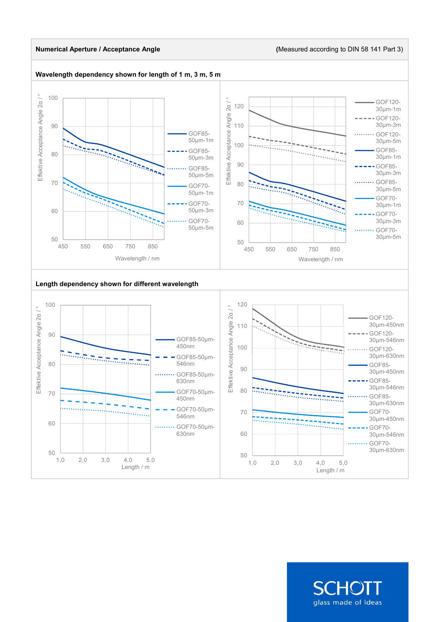#### **Numerical Aperture / Acceptance Angle (**Measured according to DIN 58 141 Part 3)



SCHOI glass made of ideas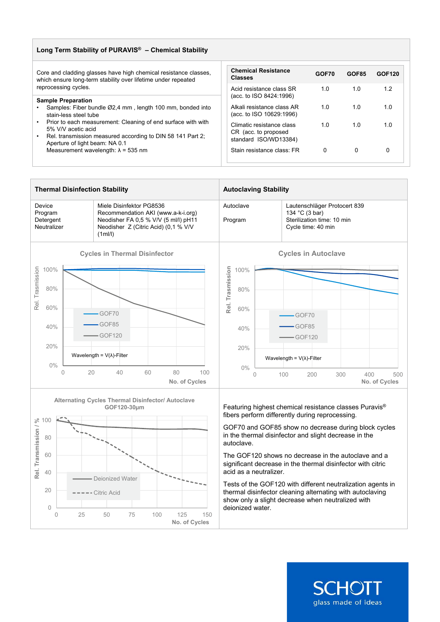| Long Term Stability of PURAVIS <sup>®</sup> - Chemical Stability                                                                                                                   |                                                                            |       |              |        |  |  |  |
|------------------------------------------------------------------------------------------------------------------------------------------------------------------------------------|----------------------------------------------------------------------------|-------|--------------|--------|--|--|--|
| Core and cladding glasses have high chemical resistance classes,<br>which ensure long-term stability over lifetime under repeated                                                  | <b>Chemical Resistance</b><br><b>Classes</b>                               | GOF70 | <b>GOF85</b> | GOF120 |  |  |  |
| reprocessing cycles.                                                                                                                                                               | Acid resistance class SR<br>(acc. to ISO 8424:1996)                        | 1.0   | 1.0          | 1.2    |  |  |  |
| <b>Sample Preparation</b><br>Samples: Fiber bundle Ø2.4 mm, length 100 mm, bonded into<br>stain-less steel tube                                                                    | Alkali resistance class AR<br>(acc. to ISO 10629:1996)                     | 1.0   | 1.0          | 1.0    |  |  |  |
| Prior to each measurement: Cleaning of end surface with with<br>5% V/V acetic acid<br>Rel. transmission measured according to DIN 58 141 Part 2;<br>Aperture of light beam: NA 0.1 | Climatic resistance class<br>CR (acc. to proposed<br>standard ISO/WD13384) | 1.0   | 1.0          | 1.0    |  |  |  |
| Measurement wavelength: $\lambda$ = 535 nm                                                                                                                                         | Stain resistance class: FR                                                 | 0     | 0            | 0      |  |  |  |





fibers perform differently during reprocessing.

GOF70 and GOF85 show no decrease during block cycles in the thermal disinfector and slight decrease in the autoclave.

The GOF120 shows no decrease in the autoclave and a significant decrease in the thermal disinfector with citric acid as a neutralizer.

Tests of the GOF120 with different neutralization agents in thermal disinfector cleaning alternating with autoclaving show only a slight decrease when neutralized with deionized water.

**SCHOT** 

glass made of ideas